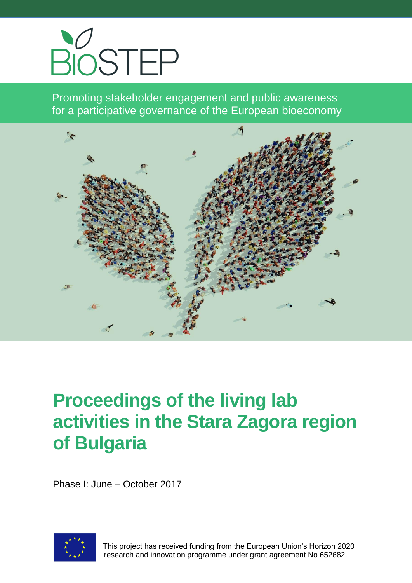

Promoting stakeholder engagement and public awareness for a participative governance of the European bioeconomy



# **Proceedings of the living lab activities in the Stara Zagora region of Bulgaria**

Phase I: June – October 2017



 This project has received funding from the European Union's Horizon 2020 research and innovation programme under grant agreement No 652682.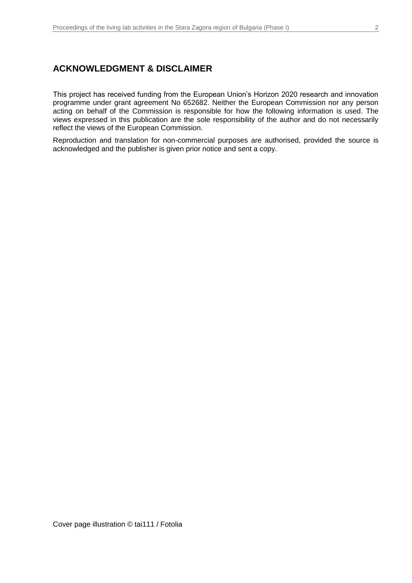#### **ACKNOWLEDGMENT & DISCLAIMER**

This project has received funding from the European Union's Horizon 2020 research and innovation programme under grant agreement No 652682. Neither the European Commission nor any person acting on behalf of the Commission is responsible for how the following information is used. The views expressed in this publication are the sole responsibility of the author and do not necessarily reflect the views of the European Commission.

Reproduction and translation for non-commercial purposes are authorised, provided the source is acknowledged and the publisher is given prior notice and sent a copy.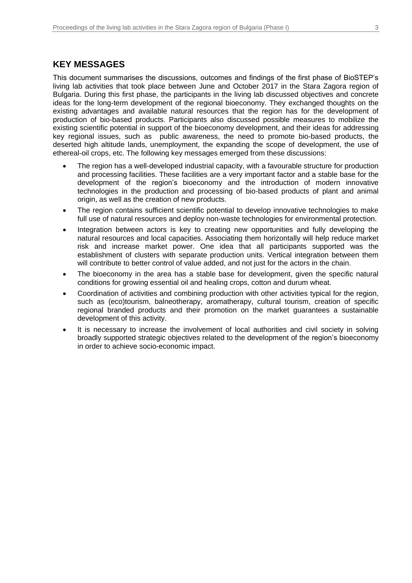### **KEY MESSAGES**

This document summarises the discussions, outcomes and findings of the first phase of BioSTEP's living lab activities that took place between June and October 2017 in the Stara Zagora region of Bulgaria. During this first phase, the participants in the living lab discussed objectives and concrete ideas for the long-term development of the regional bioeconomy. They exchanged thoughts on the existing advantages and available natural resources that the region has for the development of production of bio-based products. Participants also discussed possible measures to mobilize the existing scientific potential in support of the bioeconomy development, and their ideas for addressing key regional issues, such as public awareness, the need to promote bio-based products, the deserted high altitude lands, unemployment, the expanding the scope of development, the use of ethereal-oil crops, etc. The following key messages emerged from these discussions:

- The region has a well-developed industrial capacity, with a favourable structure for production and processing facilities. These facilities are a very important factor and a stable base for the development of the region's bioeconomy and the introduction of modern innovative technologies in the production and processing of bio-based products of plant and animal origin, as well as the creation of new products.
- The region contains sufficient scientific potential to develop innovative technologies to make full use of natural resources and deploy non-waste technologies for environmental protection.
- Integration between actors is key to creating new opportunities and fully developing the natural resources and local capacities. Associating them horizontally will help reduce market risk and increase market power. One idea that all participants supported was the establishment of clusters with separate production units. Vertical integration between them will contribute to better control of value added, and not just for the actors in the chain.
- The bioeconomy in the area has a stable base for development, given the specific natural conditions for growing essential oil and healing crops, cotton and durum wheat.
- Coordination of activities and combining production with other activities typical for the region, such as (eco)tourism, balneotherapy, aromatherapy, cultural tourism, creation of specific regional branded products and their promotion on the market guarantees a sustainable development of this activity.
- It is necessary to increase the involvement of local authorities and civil society in solving broadly supported strategic objectives related to the development of the region's bioeconomy in order to achieve socio-economic impact.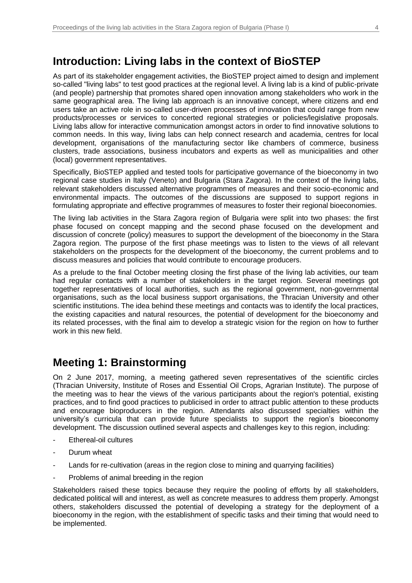As part of its stakeholder engagement activities, the BioSTEP project aimed to design and implement so-called "living labs" to test good practices at the regional level. A living lab is a kind of public-private (and people) partnership that promotes shared open innovation among stakeholders who work in the same geographical area. The living lab approach is an innovative concept, where citizens and end users take an active role in so-called user-driven processes of innovation that could range from new products/processes or services to concerted regional strategies or policies/legislative proposals. Living labs allow for interactive communication amongst actors in order to find innovative solutions to common needs. In this way, living labs can help connect research and academia, centres for local development, organisations of the manufacturing sector like chambers of commerce, business clusters, trade associations, business incubators and experts as well as municipalities and other (local) government representatives.

Specifically, BioSTEP applied and tested tools for participative governance of the bioeconomy in two regional case studies in Italy (Veneto) and Bulgaria (Stara Zagora). In the context of the living labs, relevant stakeholders discussed alternative programmes of measures and their socio-economic and environmental impacts. The outcomes of the discussions are supposed to support regions in formulating appropriate and effective programmes of measures to foster their regional bioeconomies.

The living lab activities in the Stara Zagora region of Bulgaria were split into two phases: the first phase focused on concept mapping and the second phase focused on the development and discussion of concrete (policy) measures to support the development of the bioeconomy in the Stara Zagora region. The purpose of the first phase meetings was to listen to the views of all relevant stakeholders on the prospects for the development of the bioeconomy, the current problems and to discuss measures and policies that would contribute to encourage producers.

As a prelude to the final October meeting closing the first phase of the living lab activities, our team had regular contacts with a number of stakeholders in the target region. Several meetings got together representatives of local authorities, such as the regional government, non-governmental organisations, such as the local business support organisations, the Thracian University and other scientific institutions. The idea behind these meetings and contacts was to identify the local practices, the existing capacities and natural resources, the potential of development for the bioeconomy and its related processes, with the final aim to develop a strategic vision for the region on how to further work in this new field.

# **Meeting 1: Brainstorming**

On 2 June 2017, morning, a meeting gathered seven representatives of the scientific circles (Thracian University, Institute of Roses and Essential Oil Crops, Agrarian Institute). The purpose of the meeting was to hear the views of the various participants about the region's potential, existing practices, and to find good practices to publicised in order to attract public attention to these products and encourage bioproducers in the region. Attendants also discussed specialties within the university's curricula that can provide future specialists to support the region's bioeconomy development. The discussion outlined several aspects and challenges key to this region, including:

- Ethereal-oil cultures
- Durum wheat
- Lands for re-cultivation (areas in the region close to mining and quarrying facilities)
- Problems of animal breeding in the region

Stakeholders raised these topics because they require the pooling of efforts by all stakeholders, dedicated political will and interest, as well as concrete measures to address them properly. Amongst others, stakeholders discussed the potential of developing a strategy for the deployment of a bioeconomy in the region, with the establishment of specific tasks and their timing that would need to be implemented.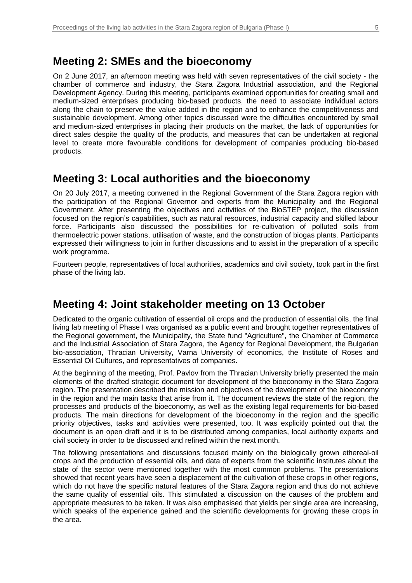# **Meeting 2: SMEs and the bioeconomy**

On 2 June 2017, an afternoon meeting was held with seven representatives of the civil society - the chamber of commerce and industry, the Stara Zagora Industrial association, and the Regional Development Agency. During this meeting, participants examined opportunities for creating small and medium-sized enterprises producing bio-based products, the need to associate individual actors along the chain to preserve the value added in the region and to enhance the competitiveness and sustainable development. Among other topics discussed were the difficulties encountered by small and medium-sized enterprises in placing their products on the market, the lack of opportunities for direct sales despite the quality of the products, and measures that can be undertaken at regional level to create more favourable conditions for development of companies producing bio-based products.

# **Meeting 3: Local authorities and the bioeconomy**

On 20 July 2017, a meeting convened in the Regional Government of the Stara Zagora region with the participation of the Regional Governor and experts from the Municipality and the Regional Government. After presenting the objectives and activities of the BioSTEP project, the discussion focused on the region's capabilities, such as natural resources, industrial capacity and skilled labour force. Participants also discussed the possibilities for re-cultivation of polluted soils from thermoelectric power stations, utilisation of waste, and the construction of biogas plants. Participants expressed their willingness to join in further discussions and to assist in the preparation of a specific work programme.

Fourteen people, representatives of local authorities, academics and civil society, took part in the first phase of the living lab.

## **Meeting 4: Joint stakeholder meeting on 13 October**

Dedicated to the organic cultivation of essential oil crops and the production of essential oils, the final living lab meeting of Phase I was organised as a public event and brought together representatives of the Regional government, the Municipality, the State fund "Agriculture", the Chamber of Commerce and the Industrial Association of Stara Zagora, the Agency for Regional Development, the Bulgarian bio-association, Thracian University, Varna University of economics, the Institute of Roses and Essential Oil Cultures, and representatives of companies.

At the beginning of the meeting, Prof. Pavlov from the Thracian University briefly presented the main elements of the drafted strategic document for development of the bioeconomy in the Stara Zagora region. The presentation described the mission and objectives of the development of the bioeconomy in the region and the main tasks that arise from it. The document reviews the state of the region, the processes and products of the bioeconomy, as well as the existing legal requirements for bio-based products. The main directions for development of the bioeconomy in the region and the specific priority objectives, tasks and activities were presented, too. It was explicitly pointed out that the document is an open draft and it is to be distributed among companies, local authority experts and civil society in order to be discussed and refined within the next month.

The following presentations and discussions focused mainly on the biologically grown ethereal-oil crops and the production of essential oils, and data of experts from the scientific institutes about the state of the sector were mentioned together with the most common problems. The presentations showed that recent years have seen a displacement of the cultivation of these crops in other regions, which do not have the specific natural features of the Stara Zagora region and thus do not achieve the same quality of essential oils. This stimulated a discussion on the causes of the problem and appropriate measures to be taken. It was also emphasised that yields per single area are increasing, which speaks of the experience gained and the scientific developments for growing these crops in the area.